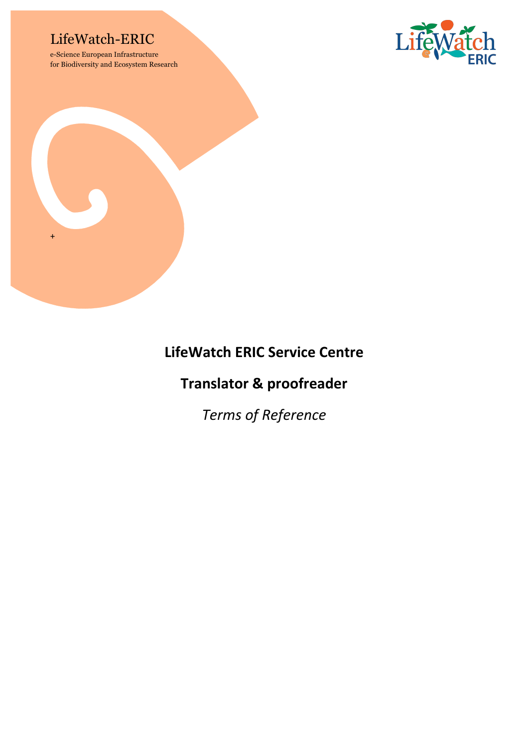## LifeWatch-ERIC

e-Science European Infrastructure for Biodiversity and Ecosystem Research





# **LifeWatch ERIC Service Centre**

## **Translator & proofreader**

*Terms of Reference*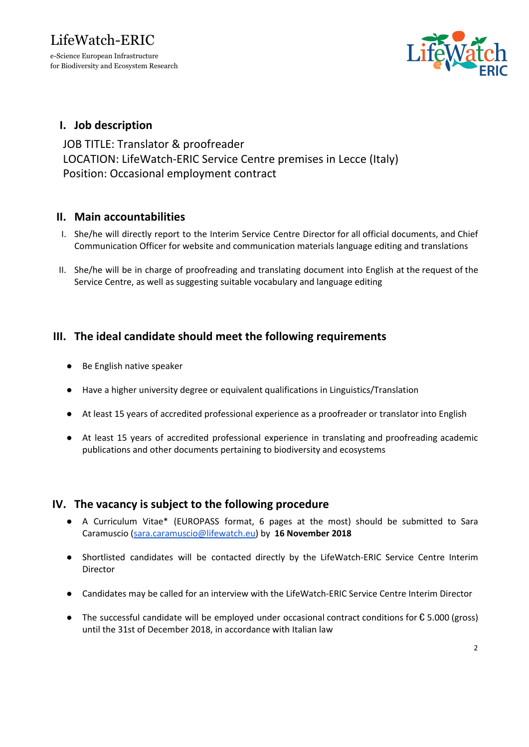for Biodiversity and Ecosystem Research



### I. Job description

JOB TITLE: Translator & proofreader LOCATION: LifeWatch-ERIC Service Centre premises in Lecce (Italy) Position: Occasional employment contract

#### II. Main accountabilities

- I. She/he will directly report to the Interim Service Centre Director for all official documents, and Chief Communication Officer for website and communication materials language editing and translations
- II. She/he will be in charge of proofreading and translating document into English at the request of the Service Centre, as well as suggesting suitable vocabulary and language editing

### III. The ideal candidate should meet the following requirements

- Be English native speaker
- Have a higher university degree or equivalent qualifications in Linguistics/Translation
- At least 15 years of accredited professional experience as a proofreader or translator into English
- At least 15 years of accredited professional experience in translating and proofreading academic publications and other documents pertaining to biodiversity and ecosystems

#### IV. The vacancy is subject to the following procedure

- A Curriculum Vitae\* (EUROPASS format, 6 pages at the most) should be submitted to Sara Caramuscio ([sara.caramuscio@lifewatch.eu](mailto:sara.caramuscio@lifewatch.eu)) by 16 November 2018
- Shortlisted candidates will be contacted directly by the LifeWatch-ERIC Service Centre Interim Director
- Candidates may be called for an interview with the LifeWatch-ERIC Service Centre Interim Director
- The successful candidate will be employed under occasional contract conditions for  $\epsilon$  5.000 (gross) until the 31st of December 2018, in accordance with Italian law